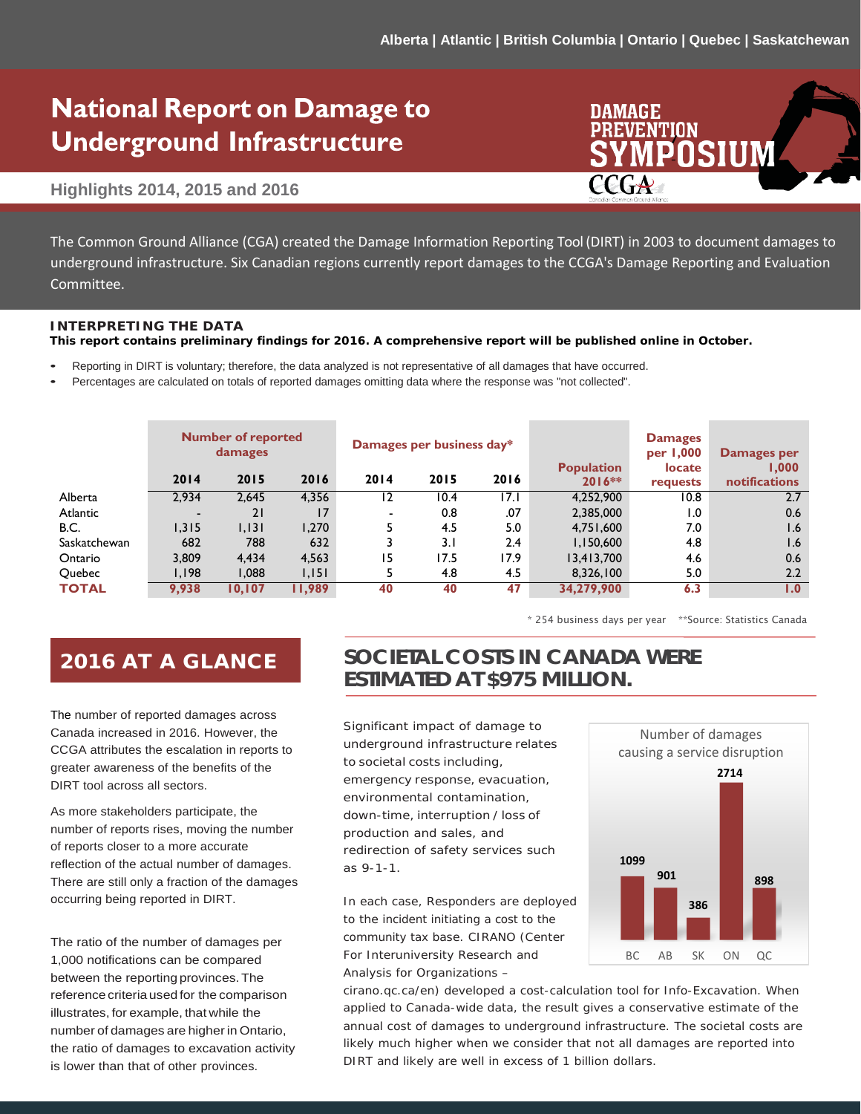# **National Report on Damage to Underground Infrastructure**

#### **Highlights 2014, 2015 and 2016**

The Common Ground Alliance (CGA) created the Damage Information Reporting Tool (DIRT) in 2003 The Common Ground Alliance (CGA) created the Damage Information Reporting Tool (DIRT) in 2003 to document damages to underground infrastructure. Six Canadian regions currently report damages to the CCGA's Damage Reporting and Evaluation damages to the CCGA's Damage Reporting and Evaluation Committee. Committee.

#### **INTERPRETING THE DATA**

**This report contains preliminary findings for 2016. A comprehensive report will be published online in October.**

- Reporting in DIRT is voluntary; therefore, the data analyzed is not representative of all damages that have occurred.
- Percentages are calculated on totals of reported damages omitting data where the response was "not collected".

|              | <b>Number of reported</b><br>damages |        |        | Damages per business day* |      |      | <b>Population</b> | <b>Damages</b><br>per 1,000<br><b>locate</b> | Damages per<br>1.000 |
|--------------|--------------------------------------|--------|--------|---------------------------|------|------|-------------------|----------------------------------------------|----------------------|
|              | 2014                                 | 2015   | 2016   | 2014                      | 2015 | 2016 | $2016**$          | requests                                     | <b>notifications</b> |
| Alberta      | 2.934                                | 2.645  | 4.356  | 12                        | 10.4 | 17.1 | 4.252.900         | 10.8                                         | 2.7                  |
| Atlantic     |                                      | 21     | 17     | -                         | 0.8  | .07  | 2,385,000         | $\overline{1.0}$                             | 0.6                  |
| <b>B.C.</b>  | 1.315                                | 1,131  | 1.270  |                           | 4.5  | 5.0  | 4,751,600         | 7.0                                          | 1.6                  |
| Saskatchewan | 682                                  | 788    | 632    |                           | 3.1  | 2.4  | 1,150,600         | 4.8                                          | 1.6                  |
| Ontario      | 3,809                                | 4.434  | 4,563  | 15                        | 17.5 | 17.9 | 13,413,700        | 4.6                                          | 0.6                  |
| Quebec       | 1,198                                | 880,1  | 1,151  |                           | 4.8  | 4.5  | 8,326,100         | 5.0                                          | 2.2                  |
| <b>TOTAL</b> | 9,938                                | 10.107 | 11,989 | 40                        | 40   | 47   | 34,279,900        | 6.3                                          | $\mathbf{1.0}$       |

\* 254 business days per year \*\*Source: Statistics Canada

### 2016 AT A GLANCE

The number of reported damages across Canada increased in 2016. However, the CCGA attributes the escalation in reports to greater awareness of the benefits of the DIRT tool across all sectors.

As more stakeholders participate, the number of reports rises, moving the number of reports closer to a more accurate reflection of the actual number of damages. There are still only a fraction of the damages occurring being reported in DIRT.

The ratio of the number of damages per 1,000 notifications can be compared between the reporting provinces.The reference criteria used for the comparison illustrates, for example, that while the number of damages are higher in Ontario, the ratio of damages to excavation activity is lower than that of other provinces.

### **SOCIETAL COSTS IN CANADA WERE ESTIMATED AT \$975 MILLION.**

Significant impact of damage to underground infrastructure relates to societal costs including, emergency response, evacuation, environmental contamination, down-time, interruption / loss of production and sales, and redirection of safety services such as 9-1-1.

In each case, Responders are deployed to the incident initiating a cost to the community tax base. CIRANO (Center For Interuniversity Research and Analysis for Organizations –



cirano.qc.ca/en) developed a cost-calculation tool for Info-Excavation. When applied to Canada-wide data, the result gives a conservative estimate of the annual cost of damages to underground infrastructure. The societal costs are likely much higher when we consider that not all damages are reported into DIRT and likely are well in excess of 1 billion dollars.